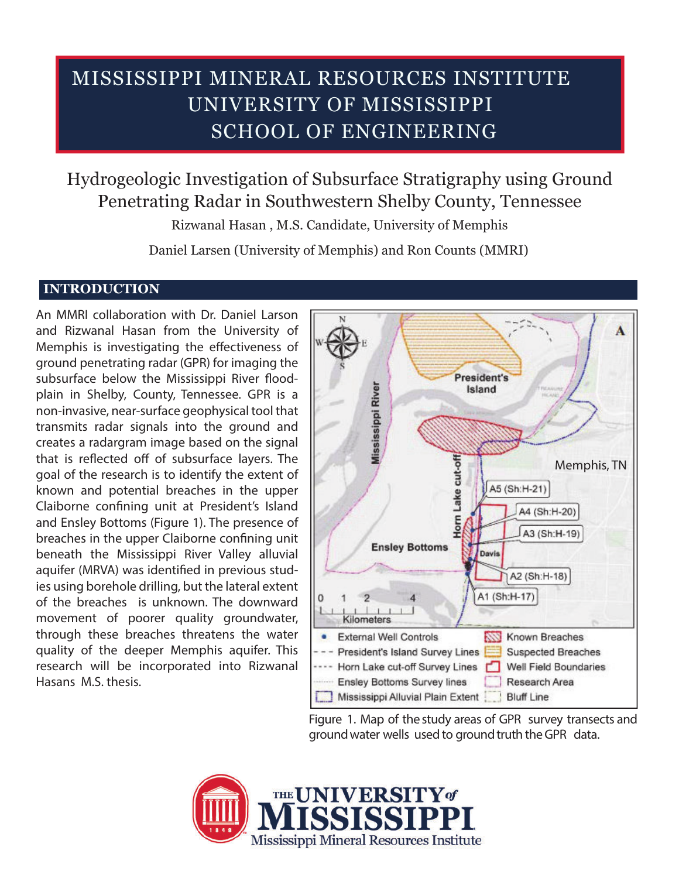## SCHOOL OF ENGINEERING UNIVERSITY OF MISSISSIPPI MISSISSIPPI MINERAL RESOURCES INSTITUTE

Hydrogeologic Investigation of Subsurface Stratigraphy using Ground Penetrating Radar in Southwestern Shelby County, Tennessee

Rizwanal Hasan , M.S. Candidate, University of Memphis

Daniel Larsen (University of Memphis) and Ron Counts (MMRI)

## **INTRODUCTION**

An MMRI collaboration with Dr. Daniel Larson and Rizwanal Hasan from the University of Memphis is investigating the effectiveness of ground penetrating radar (GPR) for imaging the subsurface below the Mississippi River floodplain in Shelby, County, Tennessee. GPR is a non-invasive, near-surface geophysical tool that transmits radar signals into the ground and creates a radargram image based on the signal that is reflected off of subsurface layers. The goal of the research is to identify the extent of known and potential breaches in the upper Claiborne confining unit at President's Island and Ensley Bottoms (Figure 1). The presence of breaches in the upper Claiborne confining unit beneath the Mississippi River Valley alluvial aquifer (MRVA) was identified in previous studies using borehole drilling, but the lateral extent of the breaches is unknown. The downward movement of poorer quality groundwater, through these breaches threatens the water quality of the deeper Memphis aquifer. This research will be incorporated into Rizwanal Hasans M.S. thesis.



Figure 1. Map of the study areas of GPR survey transects and ground water wells used to ground truth the GPR data.